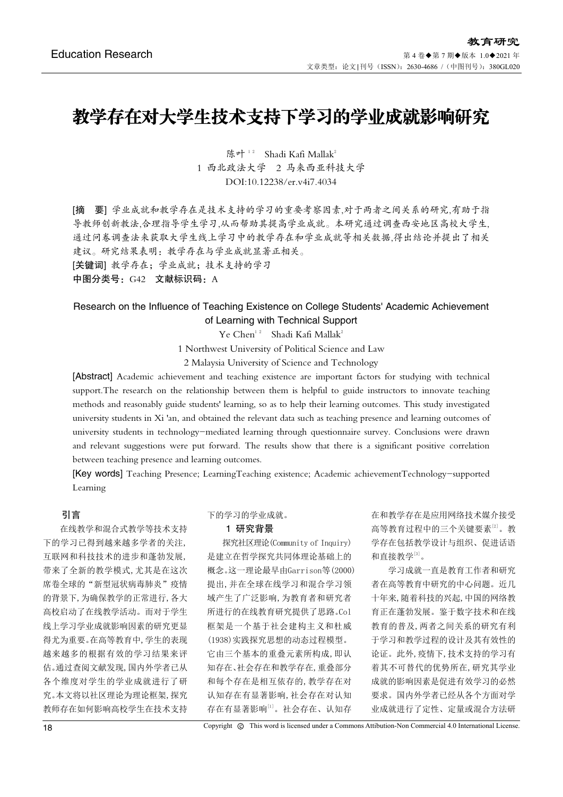# 教学存在对大学生技术支持下学习的学业成就影响研究

陈叶<sup>12</sup> Shadi Kafi Mallak<sup>2</sup> 1 西北政法大学 2 马来西亚科技大学 DOI:10.12238/er.v4i7.4034

[摘 要] 学业成就和教学存在是技术支持的学习的重要考察因素,对于两者之间关系的研究,有助于指 导教师创新教法,合理指导学生学习,从而帮助其提高学业成就。本研究通过调查西安地区高校大学生, 通过问卷调查法来获取大学生线上学习中的教学存在和学业成就等相关数据,得出结论并提出了相关 建议。研究结果表明:教学存在与学业成就显著正相关。 [关键词] 教学存在;学业成就;技术支持的学习

中图分类号: G42 文献标识码: A

# Research on the Influence of Teaching Existence on College Students' Academic Achievement of Learning with Technical Support

Ye Chen<sup>12</sup> Shadi Kafi Mallak<sup>2</sup>

1 Northwest University of Political Science and Law

2 Malaysia University of Science and Technology

[Abstract] Academic achievement and teaching existence are important factors for studying with technical support.The research on the relationship between them is helpful to guide instructors to innovate teaching methods and reasonably guide students' learning, so as to help their learning outcomes. This study investigated university students in Xi 'an, and obtained the relevant data such as teaching presence and learning outcomes of university students in technology-mediated learning through questionnaire survey. Conclusions were drawn and relevant suggestions were put forward. The results show that there is a significant positive correlation between teaching presence and learning outcomes.

[Key words] Teaching Presence; LearningTeaching existence; Academic achievementTechnology-supported Learning

# 引言

在线教学和混合式教学等技术支持 下的学习已得到越来越多学者的关注, 互联网和科技技术的进步和蓬勃发展, 带来了全新的教学模式,尤其是在这次 席卷全球的"新型冠状病毒肺炎"疫情 的背景下,为确保教学的正常进行,各大 高校启动了在线教学活动。而对于学生 线上学习学业成就影响因素的研究更显 得尤为重要。在高等教育中,学生的表现 越来越多的根据有效的学习结果来评 估。通过查阅文献发现,国内外学者已从 各个维度对学生的学业成就进行了研 究。本文将以社区理论为理论框架,探究 教师存在如何影响高校学生在技术支持

下的学习的学业成就。

### 1 研究背景

探究社区理论(Community of Inquiry) 是建立在哲学探究共同体理论基础上的 概念。这一理论最早由Garrison等(2000) 提出,并在全球在线学习和混合学习领 域产生了广泛影响,为教育者和研究者 所进行的在线教育研究提供了思路。Col 框架是一个基于社会建构主义和杜威 (1938)实践探究思想的动态过程模型。 它由三个基本的重叠元素所构成,即认 知存在、社会存在和教学存在,重叠部分 和每个存在是相互依存的,教学存在对 认知存在有显著影响,社会存在对认知 存在有显著影响[1]。社会存在、认知存

在和教学存在是应用网络技术媒介接受 高等教育过程中的三个关键要素[2]。教 学存在包括教学设计与组织、促进话语 和直接教学[3]。

学习成就一直是教育工作者和研究 者在高等教育中研究的中心问题。近几 十年来,随着科技的兴起,中国的网络教 育正在蓬勃发展。鉴于数字技术和在线 教育的普及,两者之间关系的研究有利 于学习和教学过程的设计及其有效性的 论证。此外,疫情下,技术支持的学习有 着其不可替代的优势所在,研究其学业 成就的影响因素是促进有效学习的必然 要求。国内外学者已经从各个方面对学 业成就进行了定性、定量或混合方法研